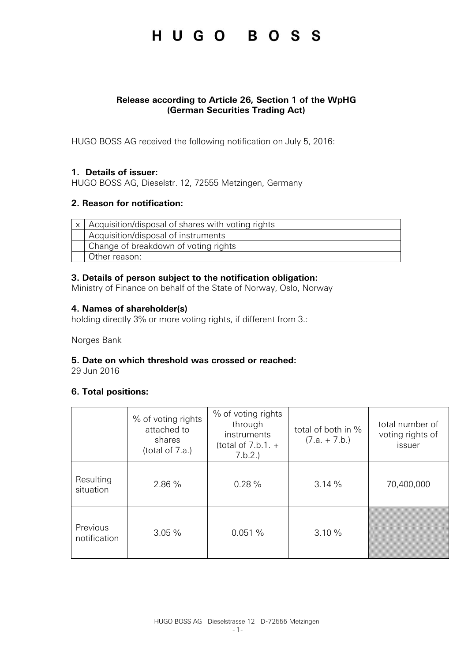### HUGO BOSS

### **Release according to Article 26, Section 1 of the WpHG (German Securities Trading Act)**

HUGO BOSS AG received the following notification on July 5, 2016:

### **1. Details of issuer:**

HUGO BOSS AG, Dieselstr. 12, 72555 Metzingen, Germany

### **2. Reason for notification:**

| $x$   Acquisition/disposal of shares with voting rights |  |  |
|---------------------------------------------------------|--|--|
| Acquisition/disposal of instruments                     |  |  |
| Change of breakdown of voting rights                    |  |  |
| Other reason:                                           |  |  |

### **3. Details of person subject to the notification obligation:**

Ministry of Finance on behalf of the State of Norway, Oslo, Norway

### **4. Names of shareholder(s)**

holding directly 3% or more voting rights, if different from 3.:

Norges Bank

#### **5. Date on which threshold was crossed or reached:**

29 Jun 2016

### **6. Total positions:**

|                          | % of voting rights<br>attached to<br>shares<br>(total of 7.a.) | % of voting rights<br>through<br>instruments<br>(total of $7.b.1. +$<br>7.b.2. | total of both in %<br>$(7.a. + 7.b.)$ | total number of<br>voting rights of<br>issuer |
|--------------------------|----------------------------------------------------------------|--------------------------------------------------------------------------------|---------------------------------------|-----------------------------------------------|
| Resulting<br>situation   | 2.86 %                                                         | 0.28%                                                                          | 3.14%                                 | 70,400,000                                    |
| Previous<br>notification | 3.05%                                                          | 0.051%                                                                         | 3.10%                                 |                                               |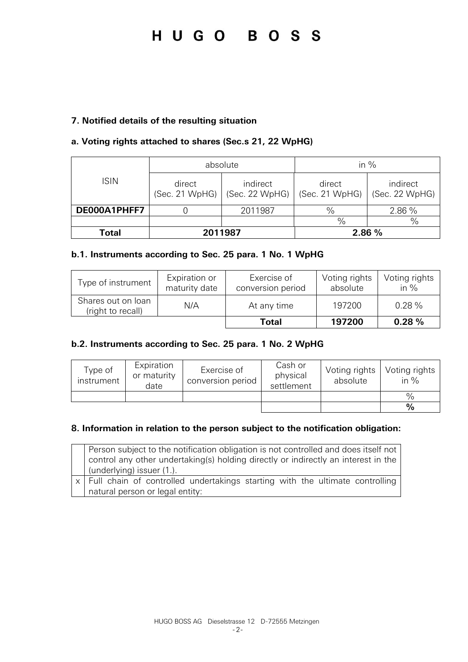# HUGO BOSS

### **7. Notified details of the resulting situation**

### **a. Voting rights attached to shares (Sec.s 21, 22 WpHG)**

|              | absolute                 |                            | in $%$                   |                            |  |
|--------------|--------------------------|----------------------------|--------------------------|----------------------------|--|
| <b>ISIN</b>  | direct<br>(Sec. 21 WpHG) | indirect<br>(Sec. 22 WpHG) | direct<br>(Sec. 21 WpHG) | indirect<br>(Sec. 22 WpHG) |  |
| DE000A1PHFF7 |                          | 2011987                    | $\%$                     | 2.86 %                     |  |
|              |                          |                            | $\frac{0}{0}$            | $\%$                       |  |
| Total        | 2011987                  |                            |                          | 2.86 %                     |  |

### **b.1. Instruments according to Sec. 25 para. 1 No. 1 WpHG**

| Type of instrument                      | Expiration or<br>maturity date | Exercise of<br>conversion period | Voting rights<br>absolute | Voting rights<br>in $%$ |
|-----------------------------------------|--------------------------------|----------------------------------|---------------------------|-------------------------|
| Shares out on loan<br>(right to recall) | N/A                            | At any time                      | 197200                    | 0.28%                   |
|                                         |                                | Total                            | 197200                    | 0.28%                   |

### **b.2. Instruments according to Sec. 25 para. 1 No. 2 WpHG**

| Type of<br>instrument | Expiration<br>or maturity<br>date | Exercise of<br>conversion period | Cash or<br>physical<br>settlement | Voting rights<br>absolute | Voting rights<br>in $%$ |
|-----------------------|-----------------------------------|----------------------------------|-----------------------------------|---------------------------|-------------------------|
|                       |                                   |                                  |                                   |                           | $\frac{0}{0}$           |
|                       |                                   |                                  |                                   |                           | $\frac{9}{6}$           |

### **8. Information in relation to the person subject to the notification obligation:**

| Person subject to the notification obligation is not controlled and does itself not<br>control any other undertaking(s) holding directly or indirectly an interest in the<br>(underlying) issuer (1.). |
|--------------------------------------------------------------------------------------------------------------------------------------------------------------------------------------------------------|
| x   Full chain of controlled undertakings starting with the ultimate controlling<br>natural person or legal entity:                                                                                    |